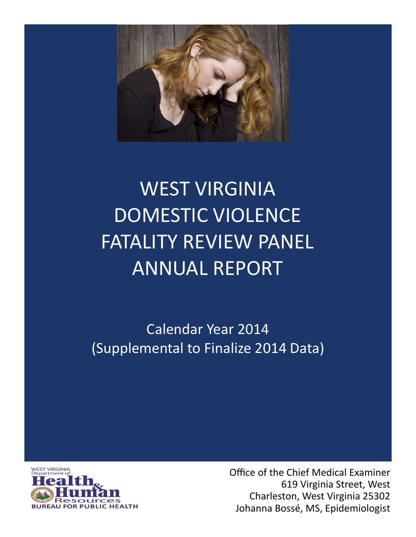

# WEST VIRGINIA DOMESTIC VIOLENCE FATALITY REVIEW PANEL ANNUAL REPORT

Calendar Year 2014 (Supplemental to Finalize 2014 Data)



Office of the Chief Medical Examiner 619 Virginia Street, West Charleston, West Virginia 25302 Johanna Bossé, MS, Epidemiologist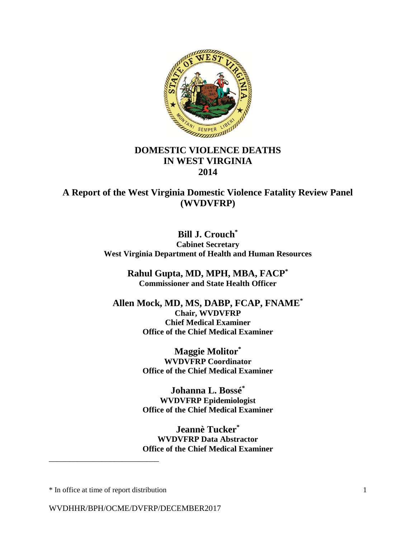

## **DOMESTIC VIOLENCE DEATHS IN WEST VIRGINIA 2014**

**A Report of the West Virginia Domestic Violence Fatality Review Panel (WVDVFRP)**

> **Bill J. Crouch\* Cabinet Secretary West Virginia Department of Health and Human Resources**

> > **Rahul Gupta, MD, MPH, MBA, FACP\* Commissioner and State Health Officer**

**Allen Mock, MD, MS, DABP, FCAP, FNAME\* Chair, WVDVFRP Chief Medical Examiner Office of the Chief Medical Examiner**

> **Maggie Molitor\* WVDVFRP Coordinator Office of the Chief Medical Examiner**

> **Johanna L. Bossé\* WVDVFRP Epidemiologist Office of the Chief Medical Examiner**

> **Jeannè Tucker\* WVDVFRP Data Abstractor Office of the Chief Medical Examiner**

\* In office at time of report distribution 1

\_\_\_\_\_\_\_\_\_\_\_\_\_\_\_\_\_\_\_\_\_\_\_\_\_\_\_

WVDHHR/BPH/OCME/DVFRP/DECEMBER2017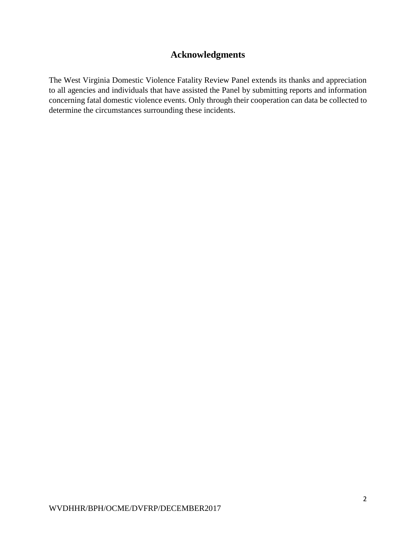# **Acknowledgments**

The West Virginia Domestic Violence Fatality Review Panel extends its thanks and appreciation to all agencies and individuals that have assisted the Panel by submitting reports and information concerning fatal domestic violence events. Only through their cooperation can data be collected to determine the circumstances surrounding these incidents.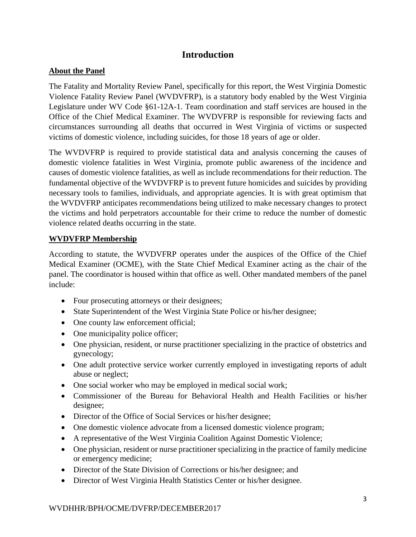## **Introduction**

### **About the Panel**

The Fatality and Mortality Review Panel, specifically for this report, the West Virginia Domestic Violence Fatality Review Panel (WVDVFRP), is a statutory body enabled by the West Virginia Legislature under WV Code §61-12A-1. Team coordination and staff services are housed in the Office of the Chief Medical Examiner. The WVDVFRP is responsible for reviewing facts and circumstances surrounding all deaths that occurred in West Virginia of victims or suspected victims of domestic violence, including suicides, for those 18 years of age or older.

The WVDVFRP is required to provide statistical data and analysis concerning the causes of domestic violence fatalities in West Virginia, promote public awareness of the incidence and causes of domestic violence fatalities, as well as include recommendations for their reduction. The fundamental objective of the WVDVFRP is to prevent future homicides and suicides by providing necessary tools to families, individuals, and appropriate agencies. It is with great optimism that the WVDVFRP anticipates recommendations being utilized to make necessary changes to protect the victims and hold perpetrators accountable for their crime to reduce the number of domestic violence related deaths occurring in the state.

## **WVDVFRP Membership**

According to statute, the WVDVFRP operates under the auspices of the Office of the Chief Medical Examiner (OCME), with the State Chief Medical Examiner acting as the chair of the panel. The coordinator is housed within that office as well. Other mandated members of the panel include:

- Four prosecuting attorneys or their designees;
- State Superintendent of the West Virginia State Police or his/her designee;
- One county law enforcement official;
- One municipality police officer;
- One physician, resident, or nurse practitioner specializing in the practice of obstetrics and gynecology;
- One adult protective service worker currently employed in investigating reports of adult abuse or neglect;
- One social worker who may be employed in medical social work;
- Commissioner of the Bureau for Behavioral Health and Health Facilities or his/her designee;
- Director of the Office of Social Services or his/her designee;
- One domestic violence advocate from a licensed domestic violence program;
- A representative of the West Virginia Coalition Against Domestic Violence;
- One physician, resident or nurse practitioner specializing in the practice of family medicine or emergency medicine;
- Director of the State Division of Corrections or his/her designee; and
- Director of West Virginia Health Statistics Center or his/her designee.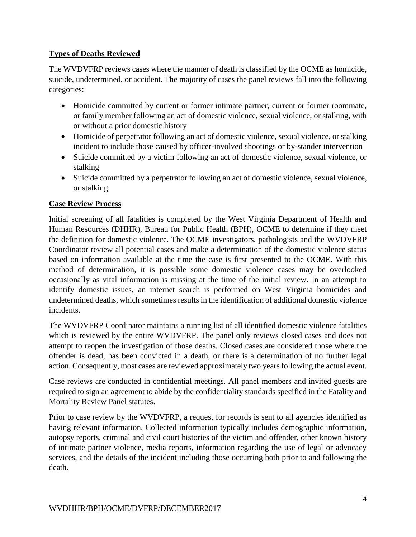## **Types of Deaths Reviewed**

The WVDVFRP reviews cases where the manner of death is classified by the OCME as homicide, suicide, undetermined, or accident. The majority of cases the panel reviews fall into the following categories:

- Homicide committed by current or former intimate partner, current or former roommate, or family member following an act of domestic violence, sexual violence, or stalking, with or without a prior domestic history
- Homicide of perpetrator following an act of domestic violence, sexual violence, or stalking incident to include those caused by officer-involved shootings or by-stander intervention
- Suicide committed by a victim following an act of domestic violence, sexual violence, or stalking
- Suicide committed by a perpetrator following an act of domestic violence, sexual violence, or stalking

## **Case Review Process**

Initial screening of all fatalities is completed by the West Virginia Department of Health and Human Resources (DHHR), Bureau for Public Health (BPH), OCME to determine if they meet the definition for domestic violence. The OCME investigators, pathologists and the WVDVFRP Coordinator review all potential cases and make a determination of the domestic violence status based on information available at the time the case is first presented to the OCME. With this method of determination, it is possible some domestic violence cases may be overlooked occasionally as vital information is missing at the time of the initial review. In an attempt to identify domestic issues, an internet search is performed on West Virginia homicides and undetermined deaths, which sometimes results in the identification of additional domestic violence incidents.

The WVDVFRP Coordinator maintains a running list of all identified domestic violence fatalities which is reviewed by the entire WVDVFRP. The panel only reviews closed cases and does not attempt to reopen the investigation of those deaths. Closed cases are considered those where the offender is dead, has been convicted in a death, or there is a determination of no further legal action. Consequently, most cases are reviewed approximately two years following the actual event.

Case reviews are conducted in confidential meetings. All panel members and invited guests are required to sign an agreement to abide by the confidentiality standards specified in the Fatality and Mortality Review Panel statutes.

Prior to case review by the WVDVFRP, a request for records is sent to all agencies identified as having relevant information. Collected information typically includes demographic information, autopsy reports, criminal and civil court histories of the victim and offender, other known history of intimate partner violence, media reports, information regarding the use of legal or advocacy services, and the details of the incident including those occurring both prior to and following the death.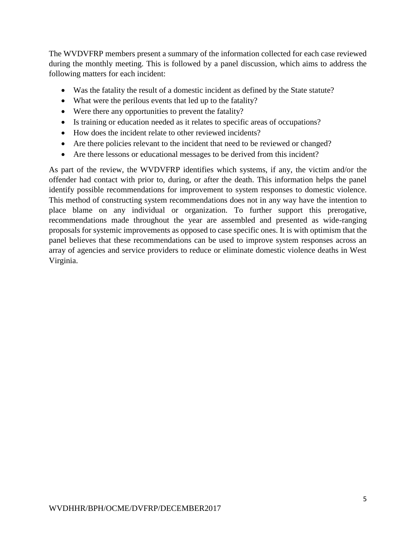The WVDVFRP members present a summary of the information collected for each case reviewed during the monthly meeting. This is followed by a panel discussion, which aims to address the following matters for each incident:

- Was the fatality the result of a domestic incident as defined by the State statute?
- What were the perilous events that led up to the fatality?
- Were there any opportunities to prevent the fatality?
- Is training or education needed as it relates to specific areas of occupations?
- How does the incident relate to other reviewed incidents?
- Are there policies relevant to the incident that need to be reviewed or changed?
- Are there lessons or educational messages to be derived from this incident?

As part of the review, the WVDVFRP identifies which systems, if any, the victim and/or the offender had contact with prior to, during, or after the death. This information helps the panel identify possible recommendations for improvement to system responses to domestic violence. This method of constructing system recommendations does not in any way have the intention to place blame on any individual or organization. To further support this prerogative, recommendations made throughout the year are assembled and presented as wide-ranging proposals for systemic improvements as opposed to case specific ones. It is with optimism that the panel believes that these recommendations can be used to improve system responses across an array of agencies and service providers to reduce or eliminate domestic violence deaths in West Virginia.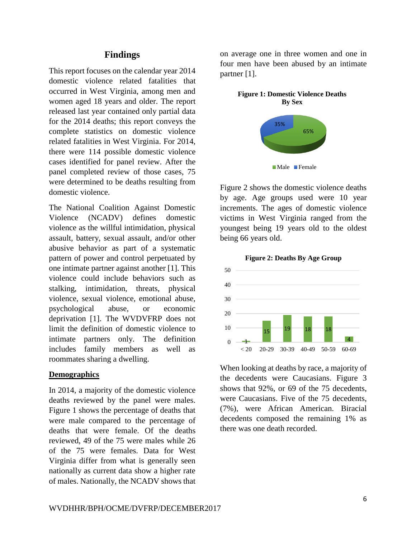## **Findings**

This report focuses on the calendar year 2014 domestic violence related fatalities that occurred in West Virginia, among men and women aged 18 years and older. The report released last year contained only partial data for the 2014 deaths; this report conveys the complete statistics on domestic violence related fatalities in West Virginia. For 2014, there were 114 possible domestic violence cases identified for panel review. After the panel completed review of those cases, 75 were determined to be deaths resulting from domestic violence.

The National Coalition Against Domestic Violence (NCADV) defines domestic violence as the willful intimidation, physical assault, battery, sexual assault, and/or other abusive behavior as part of a systematic pattern of power and control perpetuated by one intimate partner against another [1]. This violence could include behaviors such as stalking, intimidation, threats, physical violence, sexual violence, emotional abuse, psychological abuse, or economic deprivation [1]. The WVDVFRP does not limit the definition of domestic violence to intimate partners only. The definition includes family members as well as roommates sharing a dwelling.

#### **Demographics**

In 2014, a majority of the domestic violence deaths reviewed by the panel were males. Figure 1 shows the percentage of deaths that were male compared to the percentage of deaths that were female. Of the deaths reviewed, 49 of the 75 were males while 26 of the 75 were females. Data for West Virginia differ from what is generally seen nationally as current data show a higher rate of males. Nationally, the NCADV shows that

on average one in three women and one in four men have been abused by an intimate partner [1].



Figure 2 shows the domestic violence deaths by age. Age groups used were 10 year increments. The ages of domestic violence victims in West Virginia ranged from the youngest being 19 years old to the oldest being 66 years old.



**Figure 2: Deaths By Age Group**

When looking at deaths by race, a majority of the decedents were Caucasians. Figure 3 shows that 92%, or 69 of the 75 decedents, were Caucasians. Five of the 75 decedents, (7%), were African American. Biracial decedents composed the remaining 1% as there was one death recorded.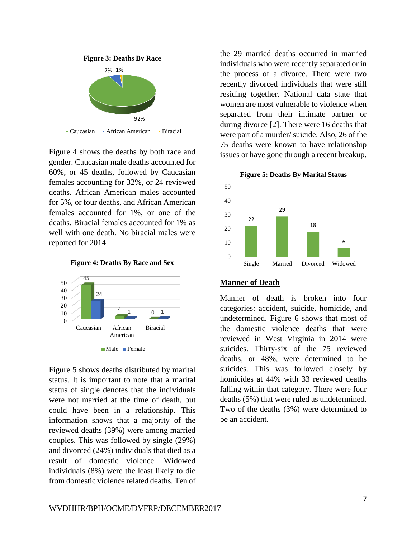

• Caucasian • African American • Biracial

Figure 4 shows the deaths by both race and gender. Caucasian male deaths accounted for 60%, or 45 deaths, followed by Caucasian females accounting for 32%, or 24 reviewed deaths. African American males accounted for 5%, or four deaths, and African American females accounted for 1%, or one of the deaths. Biracial females accounted for 1% as well with one death. No biracial males were reported for 2014.





Figure 5 shows deaths distributed by marital status. It is important to note that a marital status of single denotes that the individuals were not married at the time of death, but could have been in a relationship. This information shows that a majority of the reviewed deaths (39%) were among married couples. This was followed by single (29%) and divorced (24%) individuals that died as a result of domestic violence. Widowed individuals (8%) were the least likely to die from domestic violence related deaths. Ten of

the 29 married deaths occurred in married individuals who were recently separated or in the process of a divorce. There were two recently divorced individuals that were still residing together. National data state that women are most vulnerable to violence when separated from their intimate partner or during divorce [2]. There were 16 deaths that were part of a murder/ suicide. Also, 26 of the 75 deaths were known to have relationship issues or have gone through a recent breakup.





#### **Manner of Death**

Manner of death is broken into four categories: accident, suicide, homicide, and undetermined. Figure 6 shows that most of the domestic violence deaths that were reviewed in West Virginia in 2014 were suicides. Thirty-six of the 75 reviewed deaths, or 48%, were determined to be suicides. This was followed closely by homicides at 44% with 33 reviewed deaths falling within that category. There were four deaths (5%) that were ruled as undetermined. Two of the deaths (3%) were determined to be an accident.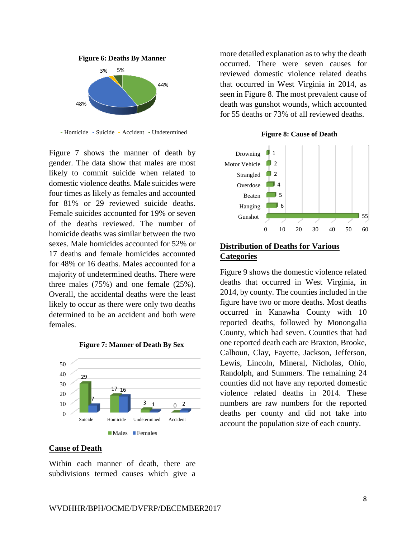

■ Homicide ■ Suicide ■ Accident ■ Undetermined

Figure 7 shows the manner of death by gender. The data show that males are most likely to commit suicide when related to domestic violence deaths. Male suicides were four times as likely as females and accounted for 81% or 29 reviewed suicide deaths. Female suicides accounted for 19% or seven of the deaths reviewed. The number of homicide deaths was similar between the two sexes. Male homicides accounted for 52% or 17 deaths and female homicides accounted for 48% or 16 deaths. Males accounted for a majority of undetermined deaths. There were three males (75%) and one female (25%). Overall, the accidental deaths were the least likely to occur as there were only two deaths determined to be an accident and both were females.



#### **Figure 7: Manner of Death By Sex**

#### **Cause of Death**

Within each manner of death, there are subdivisions termed causes which give a more detailed explanation as to why the death occurred. There were seven causes for reviewed domestic violence related deaths that occurred in West Virginia in 2014, as seen in Figure 8. The most prevalent cause of death was gunshot wounds, which accounted for 55 deaths or 73% of all reviewed deaths.





#### **Distribution of Deaths for Various Categories**

Figure 9 shows the domestic violence related deaths that occurred in West Virginia, in 2014, by county. The counties included in the figure have two or more deaths. Most deaths occurred in Kanawha County with 10 reported deaths, followed by Monongalia County, which had seven. Counties that had one reported death each are Braxton, Brooke, Calhoun, Clay, Fayette, Jackson, Jefferson, Lewis, Lincoln, Mineral, Nicholas, Ohio, Randolph, and Summers. The remaining 24 counties did not have any reported domestic violence related deaths in 2014. These numbers are raw numbers for the reported deaths per county and did not take into account the population size of each county.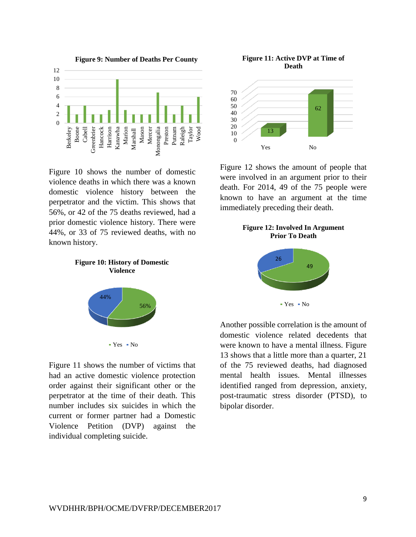

Figure 10 shows the number of domestic violence deaths in which there was a known domestic violence history between the perpetrator and the victim. This shows that 56%, or 42 of the 75 deaths reviewed, had a prior domestic violence history. There were 44%, or 33 of 75 reviewed deaths, with no known history.





Figure 11 shows the number of victims that had an active domestic violence protection order against their significant other or the perpetrator at the time of their death. This number includes six suicides in which the current or former partner had a Domestic Violence Petition (DVP) against the individual completing suicide.





Figure 12 shows the amount of people that were involved in an argument prior to their death. For 2014, 49 of the 75 people were known to have an argument at the time immediately preceding their death.





Another possible correlation is the amount of domestic violence related decedents that were known to have a mental illness. Figure 13 shows that a little more than a quarter, 21 of the 75 reviewed deaths, had diagnosed mental health issues. Mental illnesses identified ranged from depression, anxiety, post-traumatic stress disorder (PTSD), to bipolar disorder.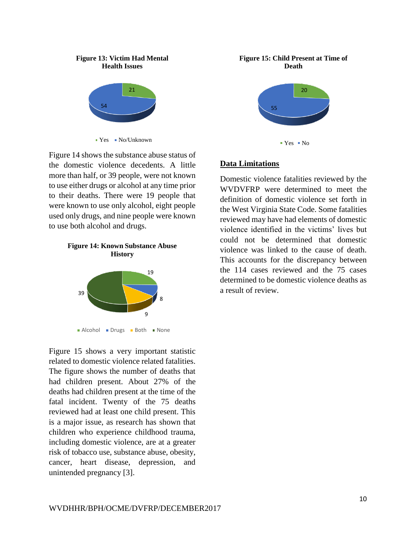#### **Figure 13: Victim Had Mental Health Issues**



 $Yes$  No/Unknown

Figure 14 shows the substance abuse status of the domestic violence decedents. A little more than half, or 39 people, were not known to use either drugs or alcohol at any time prior to their deaths. There were 19 people that were known to use only alcohol, eight people used only drugs, and nine people were known to use both alcohol and drugs.

#### **Figure 14: Known Substance Abuse History**



Figure 15 shows a very important statistic related to domestic violence related fatalities. The figure shows the number of deaths that had children present. About 27% of the deaths had children present at the time of the fatal incident. Twenty of the 75 deaths reviewed had at least one child present. This is a major issue, as research has shown that children who experience childhood trauma, including domestic violence, are at a greater risk of tobacco use, substance abuse, obesity, cancer, heart disease, depression, and unintended pregnancy [3].

#### **Figure 15: Child Present at Time of Death**



#### **Data Limitations**

Domestic violence fatalities reviewed by the WVDVFRP were determined to meet the definition of domestic violence set forth in the West Virginia State Code. Some fatalities reviewed may have had elements of domestic violence identified in the victims' lives but could not be determined that domestic violence was linked to the cause of death. This accounts for the discrepancy between the 114 cases reviewed and the 75 cases determined to be domestic violence deaths as a result of review.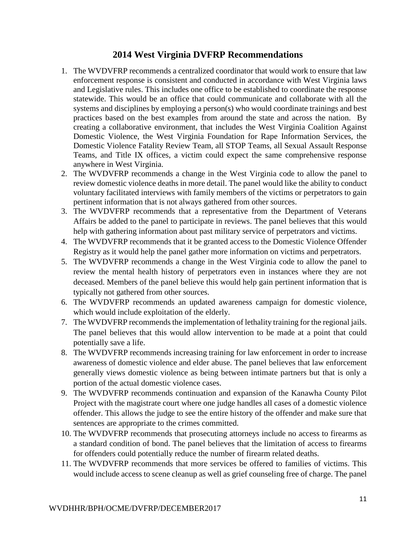## **2014 West Virginia DVFRP Recommendations**

- 1. The WVDVFRP recommends a centralized coordinator that would work to ensure that law enforcement response is consistent and conducted in accordance with West Virginia laws and Legislative rules. This includes one office to be established to coordinate the response statewide. This would be an office that could communicate and collaborate with all the systems and disciplines by employing a person(s) who would coordinate trainings and best practices based on the best examples from around the state and across the nation. By creating a collaborative environment, that includes the West Virginia Coalition Against Domestic Violence, the West Virginia Foundation for Rape Information Services, the Domestic Violence Fatality Review Team, all STOP Teams, all Sexual Assault Response Teams, and Title IX offices, a victim could expect the same comprehensive response anywhere in West Virginia.
- 2. The WVDVFRP recommends a change in the West Virginia code to allow the panel to review domestic violence deaths in more detail. The panel would like the ability to conduct voluntary facilitated interviews with family members of the victims or perpetrators to gain pertinent information that is not always gathered from other sources.
- 3. The WVDVFRP recommends that a representative from the Department of Veterans Affairs be added to the panel to participate in reviews. The panel believes that this would help with gathering information about past military service of perpetrators and victims.
- 4. The WVDVFRP recommends that it be granted access to the Domestic Violence Offender Registry as it would help the panel gather more information on victims and perpetrators.
- 5. The WVDVFRP recommends a change in the West Virginia code to allow the panel to review the mental health history of perpetrators even in instances where they are not deceased. Members of the panel believe this would help gain pertinent information that is typically not gathered from other sources.
- 6. The WVDVFRP recommends an updated awareness campaign for domestic violence, which would include exploitation of the elderly.
- 7. The WVDVFRP recommends the implementation of lethality training for the regional jails. The panel believes that this would allow intervention to be made at a point that could potentially save a life.
- 8. The WVDVFRP recommends increasing training for law enforcement in order to increase awareness of domestic violence and elder abuse. The panel believes that law enforcement generally views domestic violence as being between intimate partners but that is only a portion of the actual domestic violence cases.
- 9. The WVDVFRP recommends continuation and expansion of the Kanawha County Pilot Project with the magistrate court where one judge handles all cases of a domestic violence offender. This allows the judge to see the entire history of the offender and make sure that sentences are appropriate to the crimes committed.
- 10. The WVDVFRP recommends that prosecuting attorneys include no access to firearms as a standard condition of bond. The panel believes that the limitation of access to firearms for offenders could potentially reduce the number of firearm related deaths.
- 11. The WVDVFRP recommends that more services be offered to families of victims. This would include access to scene cleanup as well as grief counseling free of charge. The panel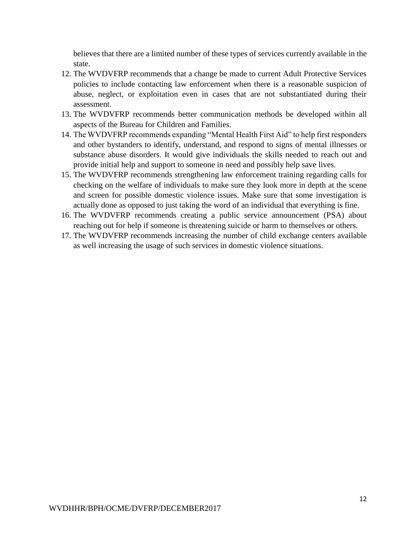believes that there are a limited number of these types of services currently available in the state.

- 12. The WVDVFRP recommends that a change be made to current Adult Protective Services policies to include contacting law enforcement when there is a reasonable suspicion of abuse, neglect, or exploitation even in cases that are not substantiated during their assessment.
- 13. The WVDVFRP recommends better communication methods be developed within all aspects of the Bureau for Children and Families.
- 14. The WVDVFRP recommends expanding "Mental Health First Aid" to help first responders and other bystanders to identify, understand, and respond to signs of mental illnesses or substance abuse disorders. It would give individuals the skills needed to reach out and provide initial help and support to someone in need and possibly help save lives.
- 15. The WVDVFRP recommends strengthening law enforcement training regarding calls for checking on the welfare of individuals to make sure they look more in depth at the scene and screen for possible domestic violence issues. Make sure that some investigation is actually done as opposed to just taking the word of an individual that everything is fine.
- 16. The WVDVFRP recommends creating a public service announcement (PSA) about reaching out for help if someone is threatening suicide or harm to themselves or others.
- 17. The WVDVFRP recommends increasing the number of child exchange centers available as well increasing the usage of such services in domestic violence situations.